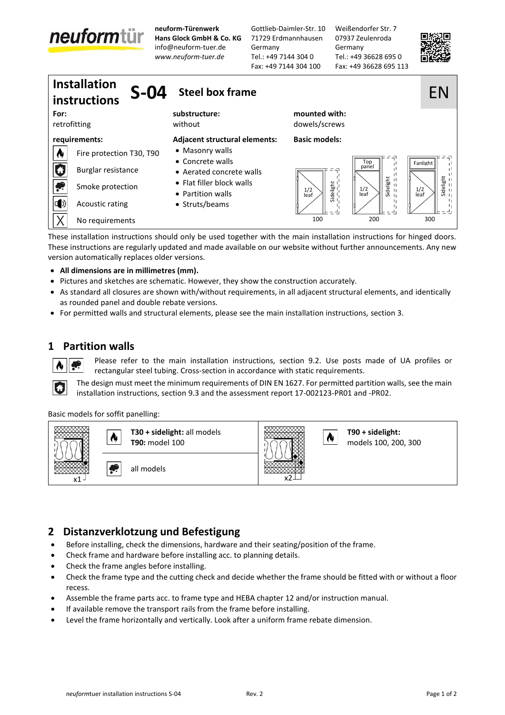# neuformtür

**neuform-Türenwerk Hans Glock GmbH & Co. KG** [info@neuform-tuer.de](mailto:info@neuform-tuer.de) *[www.neuform-tuer.de](http://www.neuform-tuer.com/)*

Gottlieb-Daimler-Str. 10 71729 Erdmannhausen Germany Tel.: +49 7144 304 0 Fax: +49 7144 304 100

Weißendorfer Str. 7 07937 Zeulenroda Germany Tel.: +49 36628 695 0 Fax: +49 36628 695 113





These installation instructions should only be used together with the main installation instructions for hinged doors. These instructions are regularly updated and made available on our website without further announcements. Any new version automatically replaces older versions.

- **All dimensions are in millimetres (mm).**
- Pictures and sketches are schematic. However, they show the construction accurately.
- As standard all closures are shown with/without requirements, in all adjacent structural elements, and identically as rounded panel and double rebate versions.
- For permitted walls and structural elements, please see the main installation instructions, section 3.

#### **1 Partition walls**

Please refer to the main installation instructions, section 9.2. Use posts made of UA profiles or rectangular steel tubing. Cross-section in accordance with static requirements.

The design must meet the minimum requirements of DIN EN 1627. For permitted partition walls, see the main installation instructions, section 9.3 and the assessment report 17-002123-PR01 and -PR02.

Basic models for soffit panelling:



#### **2 Distanzverklotzung und Befestigung**

- Before installing, check the dimensions, hardware and their seating/position of the frame.
- Check frame and hardware before installing acc. to planning details.
- Check the frame angles before installing.
- Check the frame type and the cutting check and decide whether the frame should be fitted with or without a floor recess.
- Assemble the frame parts acc. to frame type and HEBA chapter 12 and/or instruction manual.
- If available remove the transport rails from the frame before installing.
-